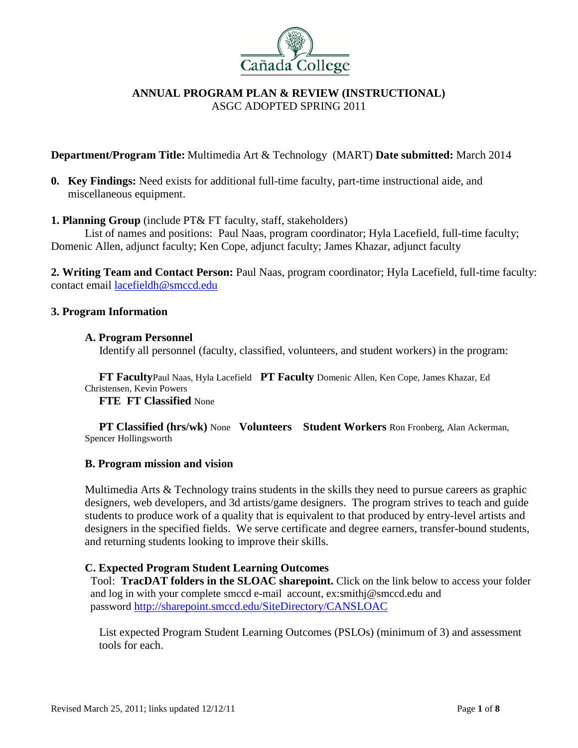

**Department/Program Title:** Multimedia Art & Technology (MART) **Date submitted:** March 2014

**0. Key Findings:** Need exists for additional full-time faculty, part-time instructional aide, and miscellaneous equipment.

## **1. Planning Group** (include PT& FT faculty, staff, stakeholders)

List of names and positions: Paul Naas, program coordinator; Hyla Lacefield, full-time faculty; Domenic Allen, adjunct faculty; Ken Cope, adjunct faculty; James Khazar, adjunct faculty

**2. Writing Team and Contact Person:** Paul Naas, program coordinator; Hyla Lacefield, full-time faculty: contact email [lacefieldh@smccd.edu](mailto:lacefieldh@smccd.edu)

### **3. Program Information**

### **A. Program Personnel**

Identify all personnel (faculty, classified, volunteers, and student workers) in the program:

 **FT Faculty**Paul Naas, Hyla Lacefield **PT Faculty** Domenic Allen, Ken Cope, James Khazar, Ed Christensen, Kevin Powers

 **FTE FT Classified** None

 **PT Classified (hrs/wk)** None **Volunteers Student Workers** Ron Fronberg, Alan Ackerman, Spencer Hollingsworth

#### **B. Program mission and vision**

Multimedia Arts & Technology trains students in the skills they need to pursue careers as graphic designers, web developers, and 3d artists/game designers. The program strives to teach and guide students to produce work of a quality that is equivalent to that produced by entry-level artists and designers in the specified fields. We serve certificate and degree earners, transfer-bound students, and returning students looking to improve their skills.

#### **C. Expected Program Student Learning Outcomes**

 Tool: **TracDAT folders in the SLOAC sharepoint.** Click on the link below to access your folder and log in with your complete smccd e-mail account, ex:smithj@smccd.edu and password <http://sharepoint.smccd.edu/SiteDirectory/CANSLOAC>

 List expected Program Student Learning Outcomes (PSLOs) (minimum of 3) and assessment tools for each.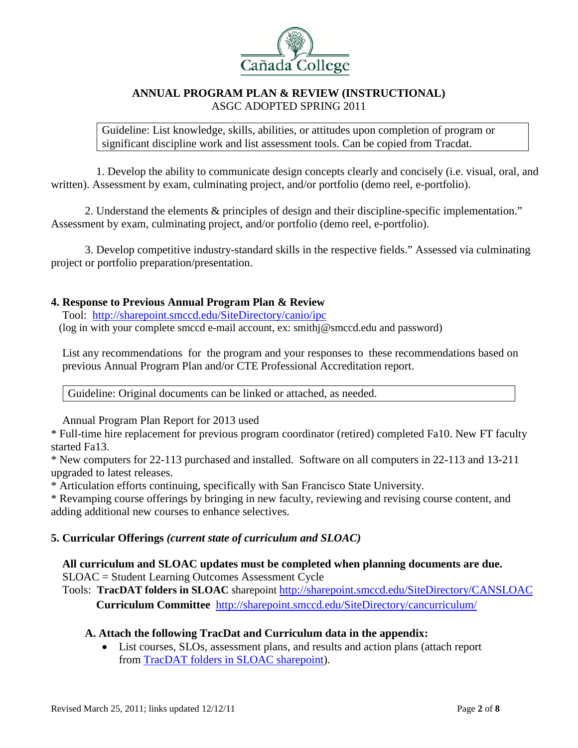

Guideline: List knowledge, skills, abilities, or attitudes upon completion of program or significant discipline work and list assessment tools. Can be copied from Tracdat.

 1. Develop the ability to communicate design concepts clearly and concisely (i.e. visual, oral, and written). Assessment by exam, culminating project, and/or portfolio (demo reel, e-portfolio).

2. Understand the elements & principles of design and their discipline-specific implementation." Assessment by exam, culminating project, and/or portfolio (demo reel, e-portfolio).

3. Develop competitive industry-standard skills in the respective fields." Assessed via culminating project or portfolio preparation/presentation.

# **4. Response to Previous Annual Program Plan & Review**

 Tool: [http://sharepoint.smccd.edu/SiteDirectory/canio/ipc](http://sharepoint.smccd.edu/SiteDirectory/canio/ipc/) (log in with your complete smccd e-mail account, ex: smithj@smccd.edu and password)

 List any recommendations for the program and your responses to these recommendations based on previous Annual Program Plan and/or CTE Professional Accreditation report.

Guideline: Original documents can be linked or attached, as needed.

Annual Program Plan Report for 2013 used

\* Full-time hire replacement for previous program coordinator (retired) completed Fa10. New FT faculty started Fa13.

\* New computers for 22-113 purchased and installed. Software on all computers in 22-113 and 13-211 upgraded to latest releases.

\* Articulation efforts continuing, specifically with San Francisco State University.

\* Revamping course offerings by bringing in new faculty, reviewing and revising course content, and adding additional new courses to enhance selectives.

## **5. Curricular Offerings** *(current state of curriculum and SLOAC)*

## **All curriculum and SLOAC updates must be completed when planning documents are due.**  SLOAC = Student Learning Outcomes Assessment Cycle

 Tools: **TracDAT folders in SLOAC** sharepoint<http://sharepoint.smccd.edu/SiteDirectory/CANSLOAC> **Curriculum Committee** <http://sharepoint.smccd.edu/SiteDirectory/cancurriculum/>

# **A. Attach the following TracDat and Curriculum data in the appendix:**

• List courses, SLOs, assessment plans, and results and action plans (attach report from [TracDAT folders in SLOAC sharepoint\)](http://sharepoint.smccd.edu/SiteDirectory/CANSLOAC).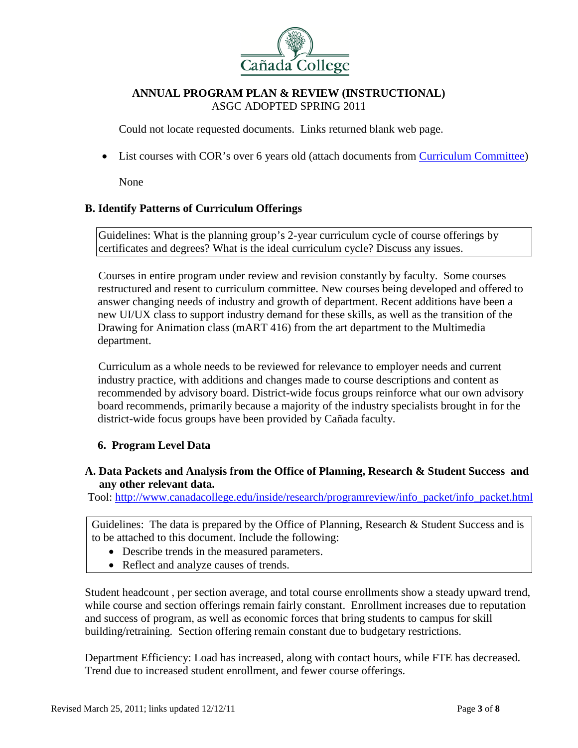

Could not locate requested documents. Links returned blank web page.

• List courses with COR's over 6 years old (attach documents from [Curriculum Committee\)](http://sharepoint.smccd.edu/SiteDirectory/cancurriculum/Course%20Outlines/Forms/AllItems.aspx)

None

# **B. Identify Patterns of Curriculum Offerings**

Guidelines: What is the planning group's 2-year curriculum cycle of course offerings by certificates and degrees? What is the ideal curriculum cycle? Discuss any issues.

Courses in entire program under review and revision constantly by faculty. Some courses restructured and resent to curriculum committee. New courses being developed and offered to answer changing needs of industry and growth of department. Recent additions have been a new UI/UX class to support industry demand for these skills, as well as the transition of the Drawing for Animation class (mART 416) from the art department to the Multimedia department.

Curriculum as a whole needs to be reviewed for relevance to employer needs and current industry practice, with additions and changes made to course descriptions and content as recommended by advisory board. District-wide focus groups reinforce what our own advisory board recommends, primarily because a majority of the industry specialists brought in for the district-wide focus groups have been provided by Cañada faculty.

## **6. Program Level Data**

## **A. Data Packets and Analysis from the Office of Planning, Research & Student Success and any other relevant data.**

Tool: [http://www.canadacollege.edu/inside/research/programreview/info\\_packet/info\\_packet.html](http://www.canadacollege.edu/inside/research/programreview/info_packet/info_packet.html)

Guidelines: The data is prepared by the Office of Planning, Research & Student Success and is to be attached to this document. Include the following:

- Describe trends in the measured parameters.
- Reflect and analyze causes of trends.

Student headcount , per section average, and total course enrollments show a steady upward trend, while course and section offerings remain fairly constant. Enrollment increases due to reputation and success of program, as well as economic forces that bring students to campus for skill building/retraining. Section offering remain constant due to budgetary restrictions.

Department Efficiency: Load has increased, along with contact hours, while FTE has decreased. Trend due to increased student enrollment, and fewer course offerings.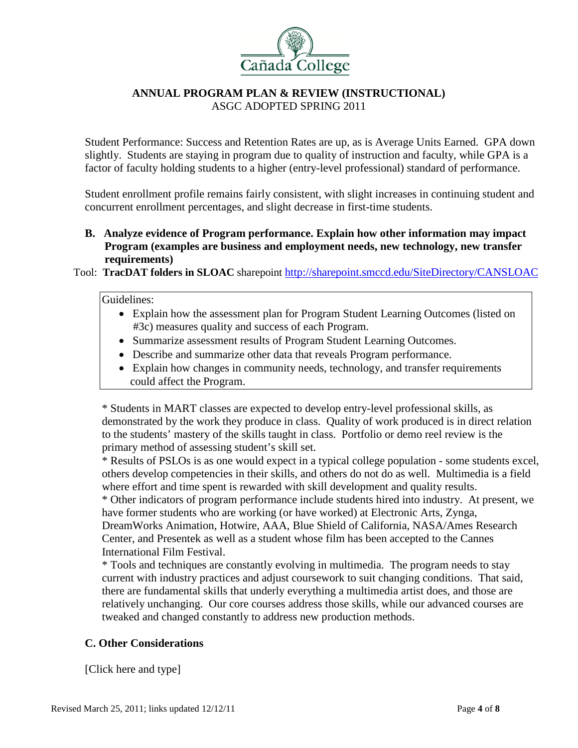

Student Performance: Success and Retention Rates are up, as is Average Units Earned. GPA down slightly. Students are staying in program due to quality of instruction and faculty, while GPA is a factor of faculty holding students to a higher (entry-level professional) standard of performance.

Student enrollment profile remains fairly consistent, with slight increases in continuing student and concurrent enrollment percentages, and slight decrease in first-time students.

**B. Analyze evidence of Program performance. Explain how other information may impact Program (examples are business and employment needs, new technology, new transfer requirements)**

Tool: **TracDAT folders in SLOAC** sharepoint<http://sharepoint.smccd.edu/SiteDirectory/CANSLOAC>

#### Guidelines:

- Explain how the assessment plan for Program Student Learning Outcomes (listed on #3c) measures quality and success of each Program.
- Summarize assessment results of Program Student Learning Outcomes.
- Describe and summarize other data that reveals Program performance.
- Explain how changes in community needs, technology, and transfer requirements could affect the Program.

\* Students in MART classes are expected to develop entry-level professional skills, as demonstrated by the work they produce in class. Quality of work produced is in direct relation to the students' mastery of the skills taught in class. Portfolio or demo reel review is the primary method of assessing student's skill set.

\* Results of PSLOs is as one would expect in a typical college population - some students excel, others develop competencies in their skills, and others do not do as well. Multimedia is a field where effort and time spent is rewarded with skill development and quality results.

\* Other indicators of program performance include students hired into industry. At present, we have former students who are working (or have worked) at Electronic Arts, Zynga, DreamWorks Animation, Hotwire, AAA, Blue Shield of California, NASA/Ames Research

Center, and Presentek as well as a student whose film has been accepted to the Cannes International Film Festival.

\* Tools and techniques are constantly evolving in multimedia. The program needs to stay current with industry practices and adjust coursework to suit changing conditions. That said, there are fundamental skills that underly everything a multimedia artist does, and those are relatively unchanging. Our core courses address those skills, while our advanced courses are tweaked and changed constantly to address new production methods.

## **C. Other Considerations**

[Click here and type]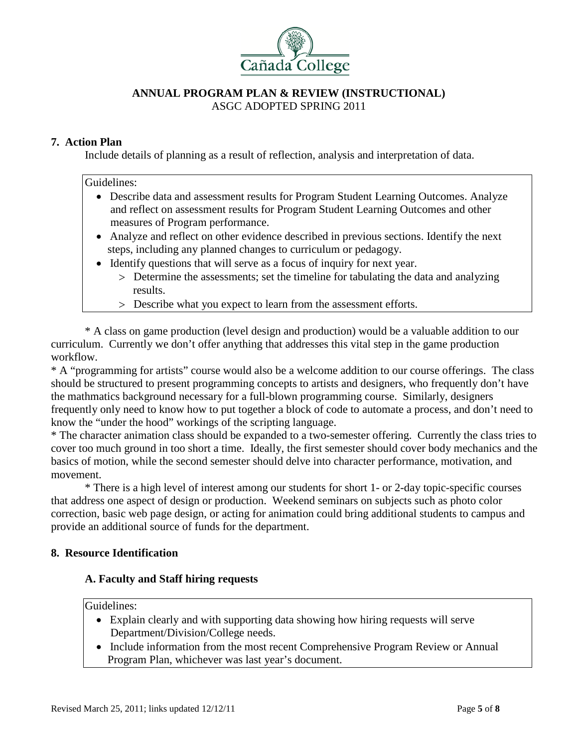

# **7. Action Plan**

Include details of planning as a result of reflection, analysis and interpretation of data.

#### Guidelines:

- Describe data and assessment results for Program Student Learning Outcomes. Analyze and reflect on assessment results for Program Student Learning Outcomes and other measures of Program performance.
- Analyze and reflect on other evidence described in previous sections. Identify the next steps, including any planned changes to curriculum or pedagogy.
- Identify questions that will serve as a focus of inquiry for next year.
	- > Determine the assessments; set the timeline for tabulating the data and analyzing results.
	- > Describe what you expect to learn from the assessment efforts.

 \* A class on game production (level design and production) would be a valuable addition to our curriculum. Currently we don't offer anything that addresses this vital step in the game production workflow.

\* A "programming for artists" course would also be a welcome addition to our course offerings. The class should be structured to present programming concepts to artists and designers, who frequently don't have the mathmatics background necessary for a full-blown programming course. Similarly, designers frequently only need to know how to put together a block of code to automate a process, and don't need to know the "under the hood" workings of the scripting language.

\* The character animation class should be expanded to a two-semester offering. Currently the class tries to cover too much ground in too short a time. Ideally, the first semester should cover body mechanics and the basics of motion, while the second semester should delve into character performance, motivation, and movement.

\* There is a high level of interest among our students for short 1- or 2-day topic-specific courses that address one aspect of design or production. Weekend seminars on subjects such as photo color correction, basic web page design, or acting for animation could bring additional students to campus and provide an additional source of funds for the department.

## **8. Resource Identification**

## **A. Faculty and Staff hiring requests**

Guidelines:

- Explain clearly and with supporting data showing how hiring requests will serve Department/Division/College needs.
- Include information from the most recent Comprehensive Program Review or Annual Program Plan, whichever was last year's document.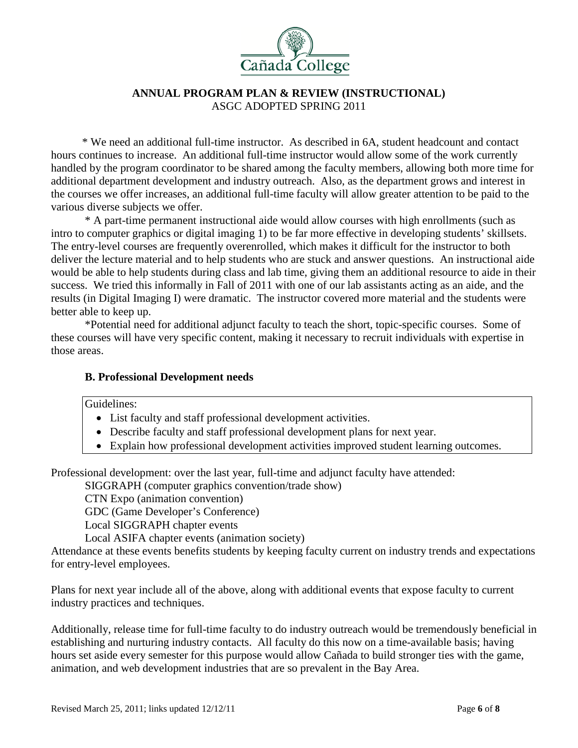

 \* We need an additional full-time instructor. As described in 6A, student headcount and contact hours continues to increase. An additional full-time instructor would allow some of the work currently handled by the program coordinator to be shared among the faculty members, allowing both more time for additional department development and industry outreach. Also, as the department grows and interest in the courses we offer increases, an additional full-time faculty will allow greater attention to be paid to the various diverse subjects we offer.

\* A part-time permanent instructional aide would allow courses with high enrollments (such as intro to computer graphics or digital imaging 1) to be far more effective in developing students' skillsets. The entry-level courses are frequently overenrolled, which makes it difficult for the instructor to both deliver the lecture material and to help students who are stuck and answer questions. An instructional aide would be able to help students during class and lab time, giving them an additional resource to aide in their success. We tried this informally in Fall of 2011 with one of our lab assistants acting as an aide, and the results (in Digital Imaging I) were dramatic. The instructor covered more material and the students were better able to keep up.

\*Potential need for additional adjunct faculty to teach the short, topic-specific courses. Some of these courses will have very specific content, making it necessary to recruit individuals with expertise in those areas.

## **B. Professional Development needs**

Guidelines:

- List faculty and staff professional development activities.
- Describe faculty and staff professional development plans for next year.
- Explain how professional development activities improved student learning outcomes.

Professional development: over the last year, full-time and adjunct faculty have attended:

SIGGRAPH (computer graphics convention/trade show)

CTN Expo (animation convention)

GDC (Game Developer's Conference)

Local SIGGRAPH chapter events

Local ASIFA chapter events (animation society)

Attendance at these events benefits students by keeping faculty current on industry trends and expectations for entry-level employees.

Plans for next year include all of the above, along with additional events that expose faculty to current industry practices and techniques.

Additionally, release time for full-time faculty to do industry outreach would be tremendously beneficial in establishing and nurturing industry contacts. All faculty do this now on a time-available basis; having hours set aside every semester for this purpose would allow Cañada to build stronger ties with the game, animation, and web development industries that are so prevalent in the Bay Area.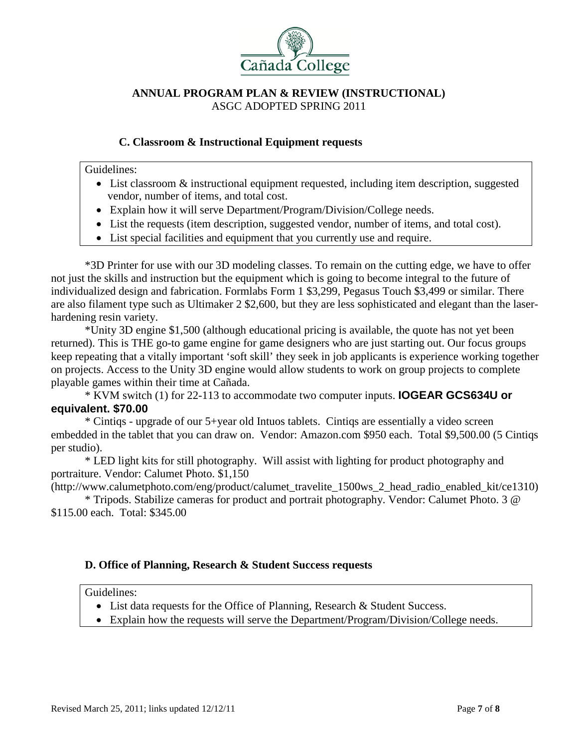

# **C. Classroom & Instructional Equipment requests**

Guidelines:

- List classroom & instructional equipment requested, including item description, suggested vendor, number of items, and total cost.
- Explain how it will serve Department/Program/Division/College needs.
- List the requests (item description, suggested vendor, number of items, and total cost).
- List special facilities and equipment that you currently use and require.

\*3D Printer for use with our 3D modeling classes. To remain on the cutting edge, we have to offer not just the skills and instruction but the equipment which is going to become integral to the future of individualized design and fabrication. Formlabs Form 1 \$3,299, Pegasus Touch \$3,499 or similar. There are also filament type such as Ultimaker 2 \$2,600, but they are less sophisticated and elegant than the laserhardening resin variety.

 \*Unity 3D engine \$1,500 (although educational pricing is available, the quote has not yet been returned). This is THE go-to game engine for game designers who are just starting out. Our focus groups keep repeating that a vitally important 'soft skill' they seek in job applicants is experience working together on projects. Access to the Unity 3D engine would allow students to work on group projects to complete playable games within their time at Cañada.

 \* KVM switch (1) for 22-113 to accommodate two computer inputs. **IOGEAR GCS634U or equivalent. \$70.00**

\* Cintiqs - upgrade of our 5+year old Intuos tablets. Cintiqs are essentially a video screen embedded in the tablet that you can draw on. Vendor: Amazon.com \$950 each. Total \$9,500.00 (5 Cintiqs per studio).

\* LED light kits for still photography. Will assist with lighting for product photography and portraiture. Vendor: Calumet Photo. \$1,150

(http://www.calumetphoto.com/eng/product/calumet\_travelite\_1500ws\_2\_head\_radio\_enabled\_kit/ce1310)

\* Tripods. Stabilize cameras for product and portrait photography. Vendor: Calumet Photo. 3 @ \$115.00 each. Total: \$345.00

## **D. Office of Planning, Research & Student Success requests**

Guidelines:

- List data requests for the Office of Planning, Research & Student Success.
- Explain how the requests will serve the Department/Program/Division/College needs.